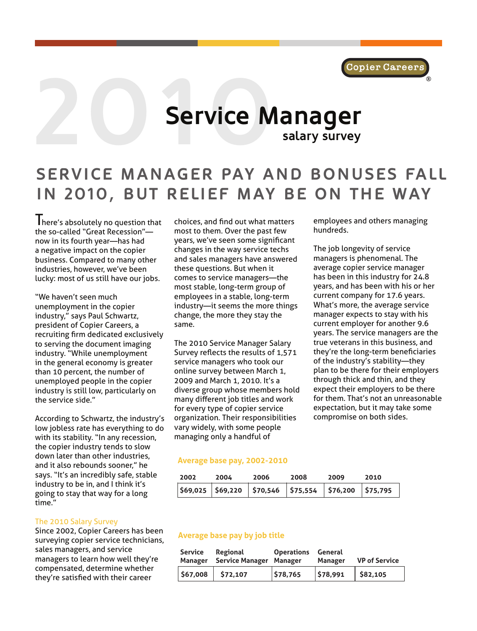

# **2000** Service M **Service Manager salary survey**

# **SERVICE MANAGER PAY AND BONUSES FALL IN 2010, BUT RELIEF MAY BE ON THE WAY**

I here's absolutely no question that the so-called "Great Recession" now in its fourth year—has had a negative impact on the copier business. Compared to many other industries, however, we've been lucky: most of us still have our jobs.

"We haven't seen much unemployment in the copier industry," says Paul Schwartz, president of Copier Careers, a recruiting firm dedicated exclusively to serving the document imaging industry. "While unemployment in the general economy is greater than 10 percent, the number of unemployed people in the copier industry is still low, particularly on the service side."

According to Schwartz, the industry's low jobless rate has everything to do with its stability. "In any recession, the copier industry tends to slow down later than other industries, and it also rebounds sooner," he says. "It's an incredibly safe, stable industry to be in, and I think it's going to stay that way for a long time."

#### The 2010 Salary Survey

Since 2002, Copier Careers has been surveying copier service technicians, sales managers, and service managers to learn how well they're compensated, determine whether they're satisfied with their career

choices, and find out what matters most to them. Over the past few years, we've seen some significant changes in the way service techs and sales managers have answered these questions. But when it comes to service managers—the most stable, long-term group of employees in a stable, long-term industry—it seems the more things change, the more they stay the same.

The 2010 Service Manager Salary Survey reflects the results of 1,571 service managers who took our online survey between March 1, 2009 and March 1, 2010. It's a diverse group whose members hold many different job titles and work for every type of copier service organization. Their responsibilities vary widely, with some people managing only a handful of

#### **Average base pay, 2002-2010**

| 2002 | 2004 | 2006                                                             | 2008 | 2009 | 2010 |
|------|------|------------------------------------------------------------------|------|------|------|
|      |      | $\frac{1}{369,025}$ \$69,220 \$70,546 \$75,554 \$76,200 \$75,795 |      |      |      |

#### **Average base pay by job title**

|  | Service Regional<br>Manager Service Manager Manager | <b>Operations General</b> | Manager | <b>VP</b> of Service |
|--|-----------------------------------------------------|---------------------------|---------|----------------------|
|  | 567,008 572,107                                     | \$78,765                  | 578,991 | \$82,105             |

employees and others managing hundreds.

The job longevity of service managers is phenomenal. The average copier service manager has been in this industry for 24.8 years, and has been with his or her current company for 17.6 years. What's more, the average service manager expects to stay with his current employer for another 9.6 years. The service managers are the true veterans in this business, and they're the long-term beneficiaries of the industry's stability—they plan to be there for their employers through thick and thin, and they expect their employers to be there for them. That's not an unreasonable expectation, but it may take some compromise on both sides.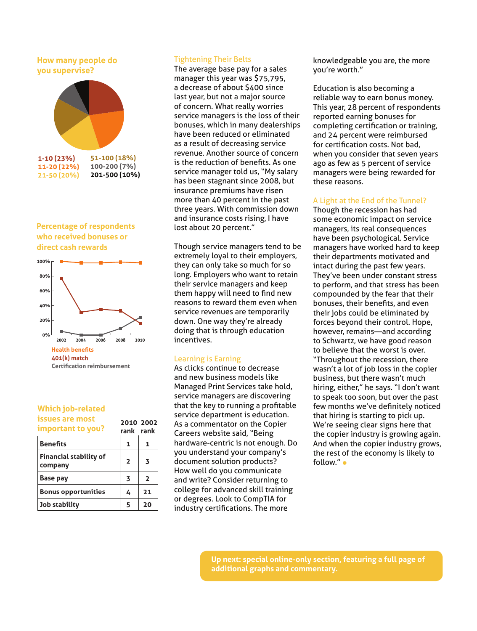## **How many people do you supervise?**



#### **Percentage of respondents who received bonuses or direct cash rewards**



#### **Which job-related issues are most important to you?**

| important to you?                        | rank                    | rank                    |
|------------------------------------------|-------------------------|-------------------------|
| <b>Benefits</b>                          | 1                       | 1                       |
| <b>Financial stability of</b><br>company | $\overline{2}$          | 3                       |
| <b>Base pay</b>                          | $\overline{\mathbf{3}}$ | $\overline{\mathbf{z}}$ |
| <b>Bonus opportunities</b>               | 4                       | 21                      |
| Job stability                            | 5                       | 20                      |
|                                          |                         |                         |

**2010 2002** 

# Tightening Their Belts

The average base pay for a sales manager this year was \$75,795, a decrease of about \$400 since last year, but not a major source of concern. What really worries service managers is the loss of their bonuses, which in many dealerships have been reduced or eliminated as a result of decreasing service revenue. Another source of concern is the reduction of benefits. As one service manager told us, "My salary has been stagnant since 2008, but insurance premiums have risen more than 40 percent in the past three years. With commission down and insurance costs rising, I have lost about 20 percent."

Though service managers tend to be extremely loyal to their employers, they can only take so much for so long. Employers who want to retain their service managers and keep them happy will need to find new reasons to reward them even when service revenues are temporarily down. One way they're already doing that is through education incentives.

# Learning is Earning

As clicks continue to decrease and new business models like Managed Print Services take hold, service managers are discovering that the key to running a profitable service department is education. As a commentator on the Copier Careers website said, "Being hardware-centric is not enough. Do you understand your company's document solution products? How well do you communicate and write? Consider returning to college for advanced skill training or degrees. Look to CompTIA for industry certifications. The more

knowledgeable you are, the more you're worth."

Education is also becoming a reliable way to earn bonus money. This year, 28 percent of respondents reported earning bonuses for completing certification or training, and 24 percent were reimbursed for certification costs. Not bad, when you consider that seven years ago as few as 5 percent of service managers were being rewarded for these reasons.

#### A Light at the End of the Tunnel?

Though the recession has had some economic impact on service managers, its real consequences have been psychological. Service managers have worked hard to keep their departments motivated and intact during the past few years. They've been under constant stress to perform, and that stress has been compounded by the fear that their bonuses, their benefits, and even their jobs could be eliminated by forces beyond their control. Hope, however, remains—and according to Schwartz, we have good reason to believe that the worst is over. "Throughout the recession, there wasn't a lot of job loss in the copier business, but there wasn't much hiring, either," he says. "I don't want to speak too soon, but over the past few months we've definitely noticed that hiring is starting to pick up. We're seeing clear signs here that the copier industry is growing again. And when the copier industry grows, the rest of the economy is likely to follow." •

**Up next: special online-only section, featuring a full page of additional graphs and commentary.**